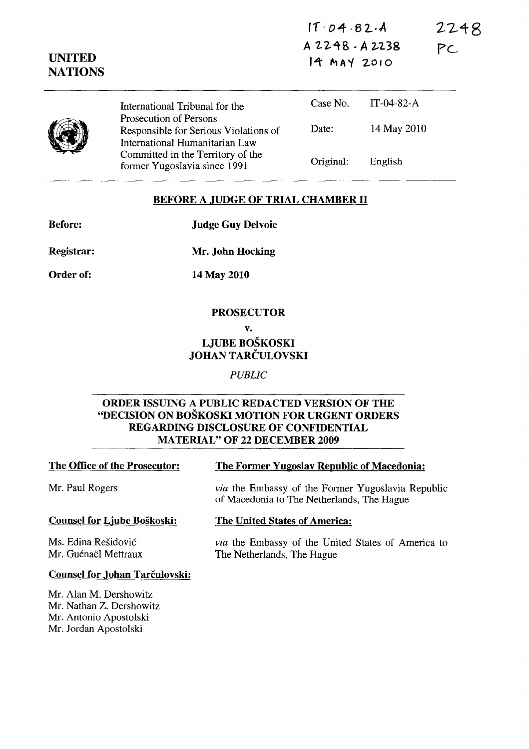|  |  |  |  | IT.04.82.4 |  |  |  |  |  |  |
|--|--|--|--|------------|--|--|--|--|--|--|
|--|--|--|--|------------|--|--|--|--|--|--|

**2248** 

**pc...** 

**A 22.4B** ~ **A 2-'2.38 14 MAY 2010** 

|  | International Tribunal for the                                                                    | Case No.  | IT-04-82-A  |
|--|---------------------------------------------------------------------------------------------------|-----------|-------------|
|  | Prosecution of Persons<br>Responsible for Serious Violations of<br>International Humanitarian Law | Date:     | 14 May 2010 |
|  | Committed in the Territory of the<br>former Yugoslavia since 1991                                 | Original: | English     |

#### **BEFORE A JUDGE OF TRIAL CHAMBER 11**

**Before:** 

**UNITED NATIONS** 

**Judge Guy Delvoie** 

**Mr. John Hocking** 

**Registrar:** 

**Order of:** 

**14 May 2010** 

## **PROSECUTOR**

**v.** 

# **LJUBE BOSKOSKI JOHAN TARCULOVSKI**

*PUBLIC* 

## **ORDER ISSUING A PUBLIC REDACTED VERSION OF THE "DECISION ON BOSKOSKI MOTION FOR URGENT ORDERS REGARDING DISCLOSURE OF CONFIDENTIAL MA TERIAL" OF 22 DECEMBER 2009**

## **The Office of the Prosecutor: The Former Yugoslav Republic of Macedonia:**

Mr. Paul Rogers *via* the Embassy of the Former Yugoslavia Republic

## **Counsel for Ljube Boskoski:**

Ms. Edina Residovic Mr. Guénaël Mettraux

# **The United States of America:**

of Macedonia to The Netherlands, The Hague

*via* the Embassy of the United States of America to The Netherlands, The Hague

## **Counsel for Johan Tarčulovski:**

Mr. Alan M. Dershowitz Mr. Nathan Z. Dershowitz Mr. Antonio Apostolski Mr. Jordan Apostolski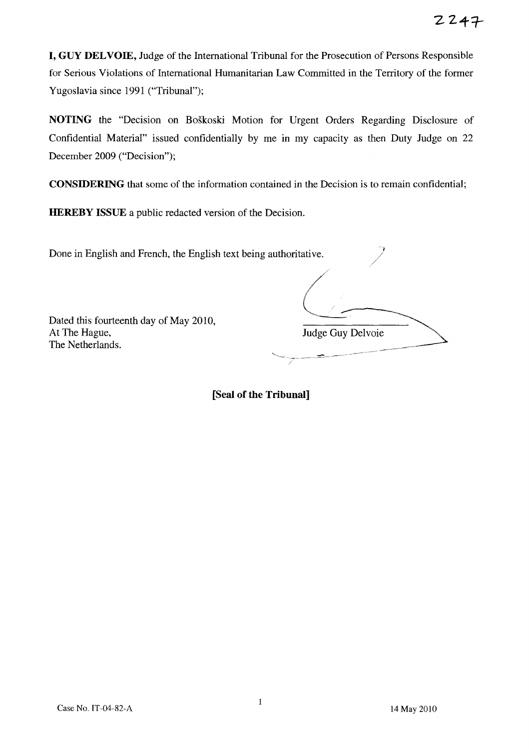**I, GUY DELVOIE,** Judge of the International Tribunal for the Prosecution of Persons Responsible for Serious Violations of International Humanitarian Law Committed in the Territory of the former Yugoslavia since 1991 ("Tribunal");

**NOTING** the "Decision on Boskoski Motion for Urgent Orders Regarding Disclosure of Confidential Material" issued confidentially by me in my capacity as then Duty Judge on 22 December 2009 ("Decision");

**CONSIDERING** that some of the information contained in the Decision is to remain confidential;

**HEREBY ISSUE** a public redacted version of the Decision.

Done in English and French, the English text being authoritative.

Dated this fourteenth day of May 20lO, The Netherlands. At The Hague, Hague, Judge

 $\overline{\phantom{a}}$ Judge Guy Delvoie

 $\frac{1}{\sqrt{2\pi}}$ 

/

**[Seal of the Tribunal]** 

/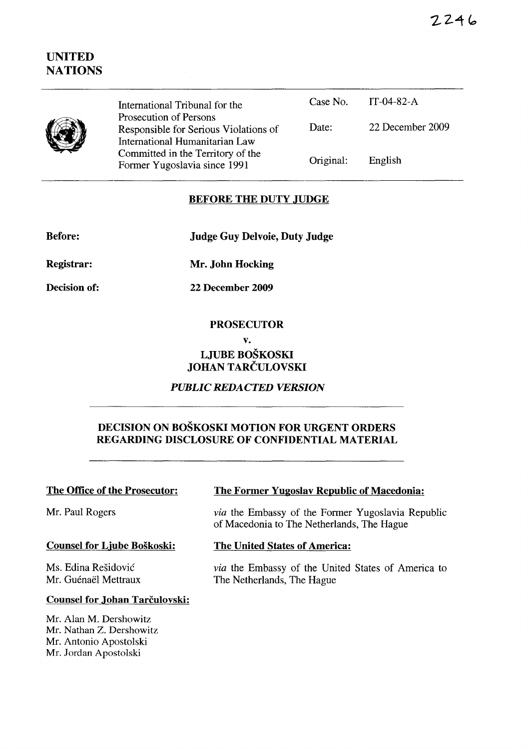2246

# **UNITED NATIONS**

|  | International Tribunal for the                                                                    |           | Case No. $IT-04-82-A$ |  |
|--|---------------------------------------------------------------------------------------------------|-----------|-----------------------|--|
|  | Prosecution of Persons<br>Responsible for Serious Violations of<br>International Humanitarian Law | Date:     | 22 December 2009      |  |
|  | Committed in the Territory of the<br>Former Yugoslavia since 1991                                 | Original: | English               |  |

## **BEFORE THE DUTY JUDGE**

**Before:** 

۱

**Judge Guy Delvoie, Duty Judge** 

**Registrar:** 

**Mr. John Hocking** 

**Decision of:** 

**22 December 2009** 

#### **PROSECUTOR**

#### **v.**

## **LJUBE BOSKOSKI JOHAN TARCULOVSKI**

## *PUBLIC REDACTED VERSION*

## **DECISION ON BOSKOSKI MOTION FOR URGENT ORDERS REGARDING DISCLOSURE OF CONFIDENTIAL MATERIAL**

## **The Office of the Prosecutor:**

Mr. Paul Rogers

#### **Counsel for Ljube Boskoski:**

Ms. Edina Residovic Mr. Guénaël Mettraux

**The Former Yugoslav Republic of Macedonia:** 

*via* the Embassy of the Former Yugoslavia Republic of Macedonia to The Netherlands, The Hague

#### **The United States of America:**

*via* the Embassy of the United States of America to The Netherlands, The Hague

#### **Counsel for Johan Tarčulovski:**

Mr. Alan M. Dershowitz Mr. Nathan Z. Dershowitz Mr. Antonio Apostolski Mr. Jordan Apostolski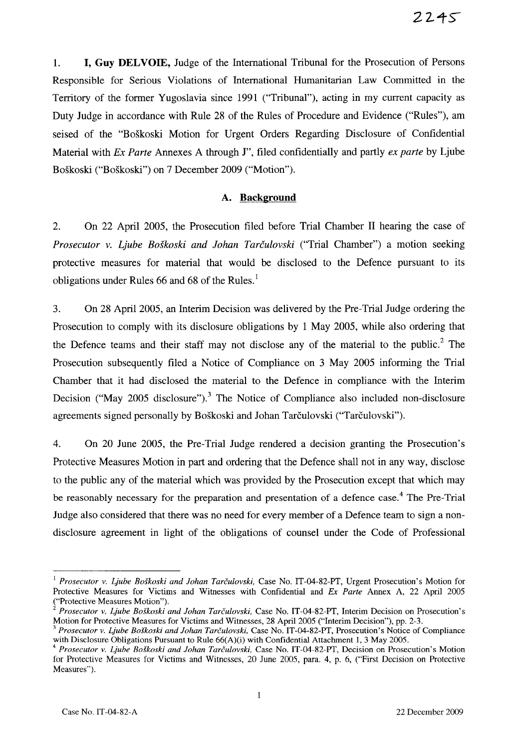1. **I, Guy DELVOIE,** Judge of the International Tribunal for the Prosecution of Persons Responsible for Serious Violations of International Humanitarian Law Committed in the Territory of the former Yugoslavia since 1991 ("Tribunal"), acting in my current capacity as Duty Judge in accordance with Rule 28 of the Rules of Procedure and Evidence ("Rules"), am seised of the "Boskoski Motion for Urgent Orders Regarding Disclosure of Confidential Material with *Ex Parte* Annexes A through 1", filed confidentially and partly *ex parte* by Ljube Boskoski ("Boskoski") on 7 December 2009 ("Motion").

#### A. **Background**

2. On 22 April 2005, the Prosecution filed before Trial Chamber 11 hearing the case of *Prosecutor* v. *Ljube Boskoski and lohan Tarculovski* ("Trial Chamber") a motion seeking protective measures for material that would be disclosed to the Defence pursuant to its obligations under Rules 66 and 68 of the Rules. $<sup>1</sup>$ </sup>

3. On 28 April 2005, an Interim Decision was delivered by the Pre-Trial Judge ordering the Prosecution to comply with its disclosure obligations by 1 May 2005, while also ordering that the Defence teams and their staff may not disclose any of the material to the public.<sup>2</sup> The Prosecution subsequently filed a Notice of Compliance on 3 May 2005 informing the Trial Chamber that it had disclosed the material to the Defence in compliance with the Interim Decision ("May 2005 disclosure").<sup>3</sup> The Notice of Compliance also included non-disclosure agreements signed personally by Boškoski and Johan Tarčulovski ("Tarčulovski").

4. On 20 June 2005, the Pre-Trial Judge rendered a decision granting the Prosecution's Protective Measures Motion in part and ordering that the Defence shall not in any way, disclose to the public any of the material which was provided by the Prosecution except that which may be reasonably necessary for the preparation and presentation of a defence case.<sup>4</sup> The Pre-Trial Judge also considered that there was no need for every member of a Defence team to sign a nondisclosure agreement in light of the obligations of counsel under the Code of Professional

<sup>1</sup>*Prosecutor* v. *Ljube Boskoski and lohan Tarculovski,* Case No. IT-04-82-PT, Urgent Prosecution's Motion for Protective Measures for Victims and Witnesses with Confidential and *Ex Parte* Annex A, 22 April 2005 ("Protective Measures Motion").

<sup>2</sup>*Prosecutor* v. *Ljube Boskoski and lohan Tarculovski,* Case No. IT-04-82-PT, Interim Decision on Prosecution's Motion for Protective Measures for Victims and Witnesses, 28 April 2005 ("Interim Decision"), pp. 2-3.

<sup>3</sup>*Prosecutor* v. *Ljube Boskoski and lohan Tarculovski,* Case No. IT-04-82-PT, Prosecution's Notice of Compliance with Disclosure Obligations Pursuant to Rule 66(A)(i) with Confidential Attachment 1, 3 May 2005.

<sup>4</sup>*Prosecutor* v. *Ljube Boskoski and lohan Tarculovski,* Case No. IT-04-82-PT, Decision on Prosecution's Motion for Protective Measures for Victims and Witnesses, 20 June 2005, para. 4, p. 6, ("First Decision on Protective Measures").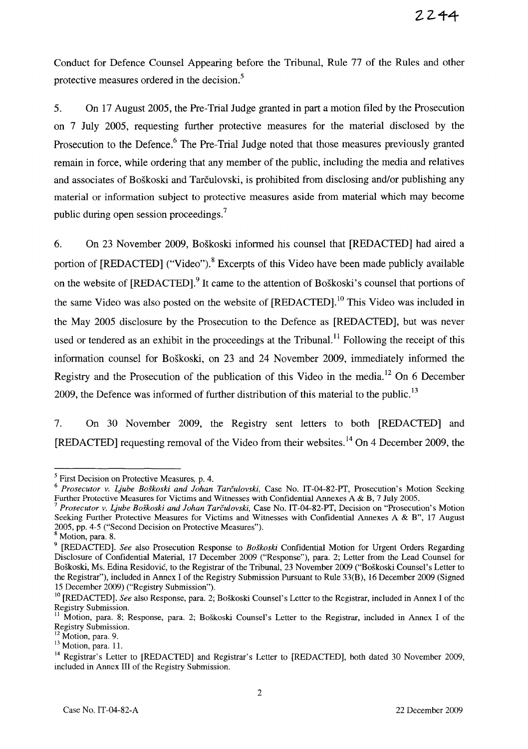Conduct for Defence Counsel Appearing before the Tribunal, Rule 77 of the Rules and other protective measures ordered in the decision.<sup>5</sup>

5. On 17 August 2005, the Pre-Trial Judge granted in part a motion filed by the Prosecution on 7 July 2005, requesting further protective measures for the material disclosed by the Prosecution to the Defence.<sup>6</sup> The Pre-Trial Judge noted that those measures previously granted remain in force, while ordering that any member of the public, including the media and relatives and associates of Boškoski and Tarčulovski, is prohibited from disclosing and/or publishing any material or information subject to protective measures aside from material which may become public during open session proceedings.<sup>7</sup>

6. On 23 November 2009, Boskoski informed his counsel that [REDACTED] had aired a portion of [REDACTED] ("Video").<sup>8</sup> Excerpts of this Video have been made publicly available on the website of [REDACTED].<sup>9</sup> It came to the attention of Boškoski's counsel that portions of the same Video was also posted on the website of  $[REDACTED]$ .<sup>10</sup> This Video was included in the May 2005 disclosure by the Prosecution to the Defence as [REDACTED], but was never used or tendered as an exhibit in the proceedings at the Tribunal.<sup>11</sup> Following the receipt of this information counsel for Boskoski, on 23 and 24 November 2009, immediately informed the Registry and the Prosecution of the publication of this Video in the media.<sup>12</sup> On 6 December 2009, the Defence was informed of further distribution of this material to the public.<sup>13</sup>

7. On 30 November 2009, the Registry sent letters to both [REDACTED] and [REDACTED] requesting removal of the Video from their websites. 14 On 4 December 2009, the

<sup>&</sup>lt;sup>5</sup> First Decision on Protective Measures, p. 4.

*<sup>6</sup> Prosecutor v. Ljube Boskoski and lohan Tarculovski,* Case No. IT-04-82-PT, Prosecution's Motion Seeking Further Protective Measures for Victims and Witnesses with Confidential Annexes A & B, 7 July 2005.

<sup>7</sup>*Prosecutor v. Ljube Boskoski and lohan Tarculovski,* Case No. IT-04-82-PT, Decision on "Prosecution's Motion Seeking Further Protective Measures for Victims and Witnesses with Confidential Annexes A & B", 17 August 2005, pp. 4-5 ("Second Decision on Protective Measures").

<sup>8</sup> Motion, para. 8.

<sup>9 [</sup>REDACTED]. *See* also Prosecution Response to *Boskoski* Confidential Motion for Urgent Orders Regarding Disclosure of Confidential Material, 17 December 2009 ("Response"), para. 2; Letter from the Lead Counsel for Boskoski, Ms. Edina Residovic, to the Registrar of the Tribunal, 23 November 2009 ("Boskoski Counsel's Letter to the Registrar"), included in Annex I of the Registry Submission Pursuant to Rule 33(B), 16 December 2009 (Signed 15 December 2009) ("Registry Submission").

<sup>&</sup>lt;sup>10</sup> [REDACTED]. *See* also Response, para. 2; Boškoski Counsel's Letter to the Registrar, included in Annex I of the Registry Submission.

<sup>&</sup>lt;sup>11</sup> Motion, para. 8; Response, para. 2; Boškoski Counsel's Letter to the Registrar, included in Annex I of the Registry Submission.

<sup>&</sup>lt;sup>12</sup> Motion, para. 9.

<sup>&</sup>lt;sup>13</sup> Motion, para. 11.

<sup>&</sup>lt;sup>14</sup> Registrar's Letter to [REDACTED] and Registrar's Letter to [REDACTED], both dated 30 November 2009, included in Annex III of the Registry Submission.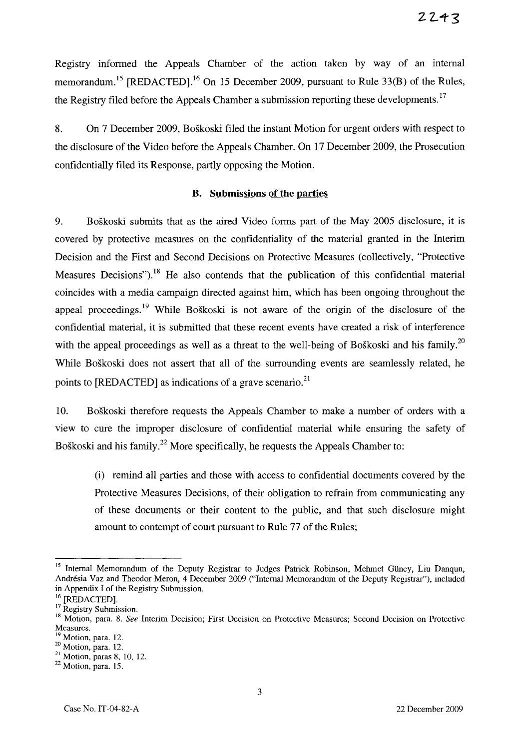Registry informed the Appeals Chamber of the action taken by way of an internal memorandum.<sup>15</sup> [REDACTED].<sup>16</sup> On 15 December 2009, pursuant to Rule 33(B) of the Rules, the Registry filed before the Appeals Chamber a submission reporting these developments.<sup>17</sup>

8. On 7 December 2009, Boskoski filed the instant Motion for urgent orders with respect to the disclosure of the Video before the Appeals Chamber. On 17 December 2009, the Prosecution confidentially filed its Response, partly opposing the Motion.

#### **B. Submissions of the parties**

9. Boskoski submits that as the aired Video forms part of the May 2005 disclosure, it is covered by protective measures on the confidentiality of the material granted in the Interim Decision and the First and Second Decisions on Protective Measures (collectively, "Protective Measures Decisions").<sup>18</sup> He also contends that the publication of this confidential material coincides with a media campaign directed against him, which has been ongoing throughout the appeal proceedings.<sup>19</sup> While Boškoski is not aware of the origin of the disclosure of the confidential material, it is submitted that these recent events have created a risk of interference with the appeal proceedings as well as a threat to the well-being of Boškoski and his family.<sup>20</sup> While Boskoski does not assert that all of the surrounding events are seamlessly related, he points to [REDACTED] as indications of a grave scenario.<sup>21</sup>

10. Boskoski therefore requests the Appeals Chamber to make a number of orders with a view to cure the improper disclosure of confidential material while ensuring the safety of Boškoski and his family.<sup>22</sup> More specifically, he requests the Appeals Chamber to:

(i) remind all parties and those with access to confidential documents covered by the Protective Measures Decisions, of their obligation to refrain from communicating any of these documents or their content to the public, and that such disclosure might amount to contempt of court pursuant to Rule 77 of the Rules;

<sup>&</sup>lt;sup>15</sup> Internal Memorandum of the Deputy Registrar to Judges Patrick Robinson, Mehmet Güney, Liu Danqun, Andresia Vaz and Theodor Meron, 4 December 2009 ("Internal Memorandum of the Deputy Registrar"), included in Appendix I of the Registry Submission.

<sup>&</sup>lt;sup>16</sup> [REDACTED].

<sup>&</sup>lt;sup>17</sup> Registry Submission.

<sup>&</sup>lt;sup>18</sup> Motion, para. 8. *See* Interim Decision; First Decision on Protective Measures; Second Decision on Protective Measures.

<sup>&</sup>lt;sup>19</sup> Motion, para. 12.

 $20$  Motion, para. 12.

<sup>21</sup> Motion, paras 8, 10, 12.

<sup>22</sup> Motion, para. 15.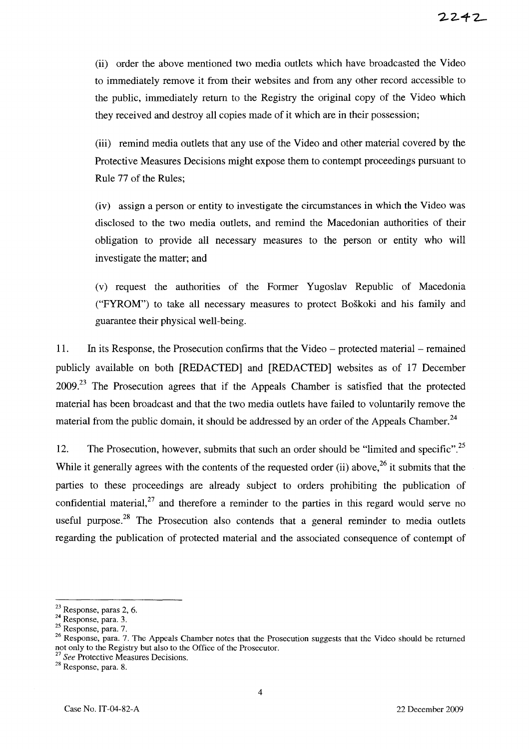(ii) order the above mentioned two media outlets which have broadcasted the Video to immediately remove it from their websites and from any other record accessible to the public, immediately return to the Registry the original copy of the Video which they received and destroy all copies made of it which are in their possession;

(iii) remind media outlets that any use of the Video and other material covered by the Protective Measures Decisions might expose them to contempt proceedings pursuant to Rule 77 of the Rules;

(iv) assign a person or entity to investigate the circumstances in which the Video was disclosed to the two media outlets, and remind the Macedonian authorities of their obligation to provide all necessary measures to the person or entity who will investigate the matter; and

(v) request the authorities of the Former Yugoslav Republic of Macedonia ("FYROM") to take all necessary measures to protect Boskoki and his family and guarantee their physical well-being.

11. In its Response, the Prosecution confirms that the Video - protected material - remained publicly available on both [REDACTED] and [REDACTED] websites as of 17 December  $2009<sup>23</sup>$  The Prosecution agrees that if the Appeals Chamber is satisfied that the protected material has been broadcast and that the two media outlets have failed to voluntarily remove the material from the public domain, it should be addressed by an order of the Appeals Chamber.<sup>24</sup>

12. The Prosecution, however, submits that such an order should be "limited and specific".<sup>25</sup> While it generally agrees with the contents of the requested order (ii) above,<sup>26</sup> it submits that the parties to these proceedings are already subject to orders prohibiting the publication of confidential material, $27$  and therefore a reminder to the parties in this regard would serve no useful purpose.<sup>28</sup> The Prosecution also contends that a general reminder to media outlets regarding the publication of protected material and the associated consequence of contempt of

<sup>23</sup> Response, paras 2, 6.

<sup>&</sup>lt;sup>24</sup> Response, para. 3.

<sup>25</sup> Response, para. 7.

<sup>&</sup>lt;sup>26</sup> Response, para. 7. The Appeals Chamber notes that the Prosecution suggests that the Video should be returned not only to the Registry but also to the Office of the Prosecutor.

*<sup>27</sup> See Protective Measures Decisions.* 

<sup>28</sup> Response, para. 8.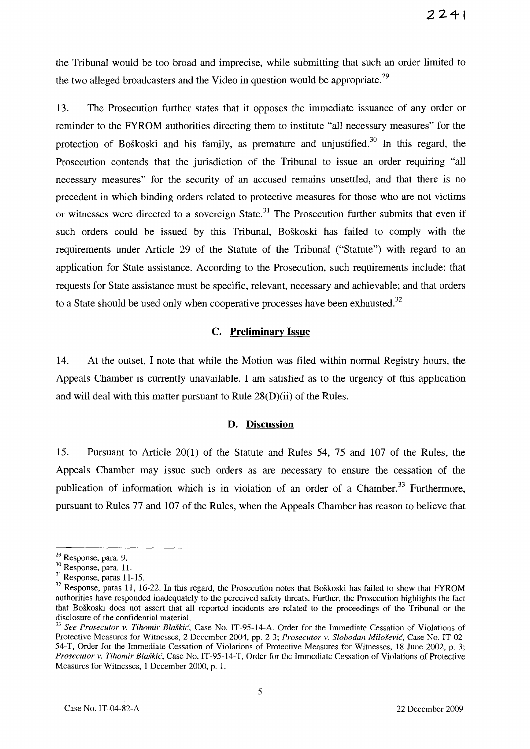the Tribunal would be too broad and imprecise, while submitting that such an order limited to the two alleged broadcasters and the Video in question would be appropriate.<sup>29</sup>

13. The Prosecution further states that it opposes the immediate issuance of any order or reminder to the FYROM authorities directing them to institute "all necessary measures" for the protection of Boškoski and his family, as premature and unjustified.<sup>30</sup> In this regard, the Prosecution contends that the jurisdiction of the Tribunal to issue an order requiring "all necessary measures" for the security of an accused remains unsettled, and that there is no precedent in which binding orders related to protective measures for those who are not victims or witnesses were directed to a sovereign State.<sup>31</sup> The Prosecution further submits that even if such orders could be issued by this Tribunal, Boskoski has failed to comply with the requirements under Article 29 of the Statute of the Tribunal ("Statute") with regard to an application for State assistance. According to the Prosecution, such requirements include: that requests for State assistance must be specific, relevant, necessary and achievable; and that orders to a State should be used only when cooperative processes have been exhausted. $32$ 

#### C. **Preliminary Issue**

14. At the outset, I note that while the Motion was filed within normal Registry hours, the Appeals Chamber is currently unavailable. I am satisfied as to the urgency of this application and will deal with this matter pursuant to Rule 28(D)(ii) of the Rules.

#### **D. Discussion**

15. Pursuant to Article 20(1) of the Statute and Rules 54, 75 and 107 of the Rules, the Appeals Chamber may issue such orders as are necessary to ensure the cessation of the publication of information which is in violation of an order of a Chamber.<sup>33</sup> Furthermore, pursuant to Rules 77 and 107 of the Rules, when the Appeals Chamber has reason to believe that

<sup>29</sup> Response, para. 9.

<sup>30</sup> Response, para. 1l.

<sup>31</sup> Response, paras 11-15.

<sup>&</sup>lt;sup>32</sup> Response, paras 11, 16-22. In this regard, the Prosecution notes that Boškoski has failed to show that FYROM authorities have responded inadequately to the perceived safety threats. Further, the Prosecution highlights the fact that Boskoski does not assert that all reported incidents are related to the proceedings of the Tribunal or the disclosure of the confidential material.

<sup>33</sup>*See Prosecutor* v. *Tihomir Blaskic,* Case No. IT-95-14-A, Order for the Immediate Cessation of Violations of Protective Measures for Witnesses, 2 December 2004, pp. 2-3; *Prosecutor* v. *Slobodan Milosevic,* Case No. IT-02- 54-T, Order for the Immediate Cessation of Violations of Protective Measures for Witnesses, IS June 2002, p. 3; *Prosecutor* v. *Tihomir Blaskic,* Case No. IT -95-14-T, Order for the Immediate Cessation of Violations of Protective Measures for Witnesses, 1 December 2000, p. 1.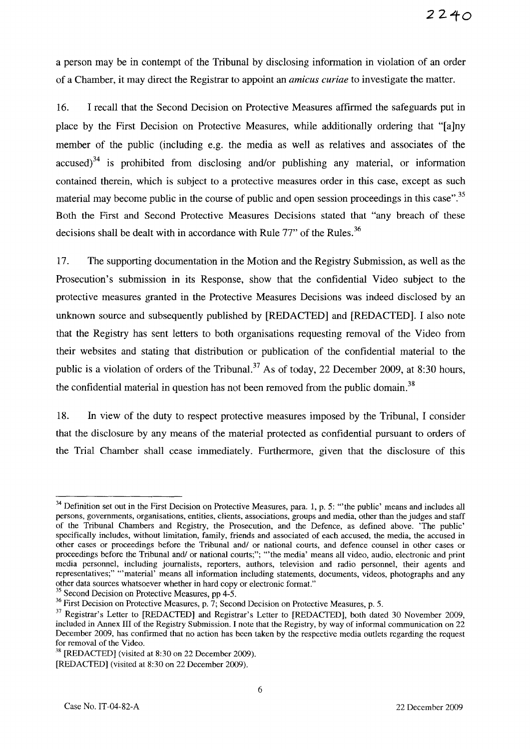a person may be in contempt of the Tribunal by disclosing information in violation of an order of a Chamber, it may direct the Registrar to appoint an *amicus curiae* to investigate the matter.

16. I recall that the Second Decision on Protective Measures affirmed the safeguards put in place by the First Decision on Protective Measures, while additionally ordering that "[a]ny member of the public (including e.g. the media as well as relatives and associates of the accused)<sup>34</sup> is prohibited from disclosing and/or publishing any material, or information contained therein, which is subject to a protective measures order in this case, except as such material may become public in the course of public and open session proceedings in this case".<sup>35</sup> Both the First and Second Protective Measures Decisions stated that "any breach of these decisions shall be dealt with in accordance with Rule  $77$ " of the Rules.<sup>36</sup>

17. The supporting documentation in the Motion and the Registry Submission, as well as the Prosecution's submission in its Response, show that the confidential Video subject to the protective measures granted in the Protective Measures Decisions was indeed disclosed by an unknown source and subsequently published by [REDACTED] and [REDACTED]. I also note that the Registry has sent letters to both organisations requesting removal of the Video from their websites and stating that distribution or publication of the confidential material to the public is a violation of orders of the Tribunal.<sup>37</sup> As of today, 22 December 2009, at 8:30 hours, the confidential material in question has not been removed from the public domain.<sup>38</sup>

18. In view of the duty to respect protective measures imposed by the Tribunal, I consider that the disclosure by any means of the material protected as confidential pursuant to orders of the Trial Chamber shall cease immediately. Furthermore, given that the disclosure of this

<sup>35</sup> Second Decision on Protective Measures, pp 4-5.

<sup>&</sup>lt;sup>34</sup> Definition set out in the First Decision on Protective Measures, para. 1, p. 5: "the public' means and includes all persons, governments, organisations, entities, clients, associations, groups and media, other than the judges and staff of the Tribunal Chambers and Registry, the Prosecution, and the Defence, as defined above. 'The public' specifically includes, without limitation, family, friends and associated of each accused, the media, the accused in other cases or proceedings before the Tribunal and/ or national courts, and defence counsel in other cases or proceedings before the Tribunal and/ or national courts;"; "the media' means all video, audio, electronic and print media personnel, including journalists, reporters, authors, television and radio personnel, their agents and representatives;" "'material' means all information including statements, documents, videos, photographs and any other data sources whatsoever whether in hard copy or electronic formaL"

 $36$  First Decision on Protective Measures, p. 7; Second Decision on Protective Measures, p. 5.

<sup>&</sup>lt;sup>37</sup> Registrar's Letter to [REDACTED] and Registrar's Letter to [REDACTED], both dated 30 November 2009, included in Annex III of the Registry Submission. I note that the Registry, by way of informal communication on 22 December 2009, has confirmed that no action has been taken by the respective media outlets regarding the request for removal of the Video.

<sup>38 [</sup>REDACTED] (visited at 8:30 on 22 December 2009).

<sup>[</sup>REDACTED] (visited at 8:30 on 22 December 2009).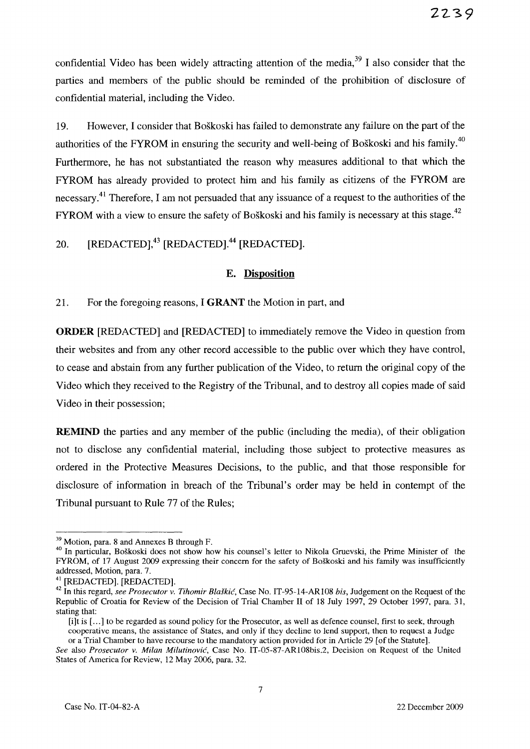confidential Video has been widely attracting attention of the media,  $39\text{ I}$  also consider that the parties and members of the public should be reminded of the prohibition of disclosure of confidential material, including the Video.

19. However, I consider that Boskoski has failed to demonstrate any failure on the part of the authorities of the FYROM in ensuring the security and well-being of Boškoski and his family.<sup>40</sup> Furthermore, he has not substantiated the reason why measures additional to that which the FYROM has already provided to protect him and his family as citizens of the FYROM are necessary.<sup>41</sup> Therefore, I am not persuaded that any issuance of a request to the authorities of the FYROM with a view to ensure the safety of Boškoski and his family is necessary at this stage.<sup>42</sup>

# 20. [REDACTED],<sup>43</sup> [REDACTED].<sup>44</sup> [REDACTED].

#### E. **Disposition**

21. For the foregoing reasons, I **GRANT** the Motion in part, and

**ORDER** [REDACTED] and [REDACTED] to immediately remove the Video in question from their web sites and from any other record accessible to the public over which they have control, to cease and abstain from any further publication of the Video, to return the original copy of the Video which they received to the Registry of the Tribunal, and to destroy all copies made of said Video in their possession;

**REMIND** the parties and any member of the public (including the media), of their obligation not to disclose any confidential material, including those subject to protective measures as ordered in the Protective Measures Decisions, to the public, and that those responsible for disclosure of information in breach of the Tribunal's order may be held in contempt of the Tribunal pursuant to Rule 77 of the Rules;

<sup>&</sup>lt;sup>39</sup> Motion, para. 8 and Annexes B through F.

<sup>&</sup>lt;sup>40</sup> In particular, Boškoski does not show how his counsel's letter to Nikola Gruevski, the Prime Minister of the FYROM, of 17 August 2009 expressing their concern for the safety of Boskoski and his family was insufficiently addressed, Motion, para. 7.

<sup>41 [</sup>REDACTED]. [REDACTED].

<sup>42</sup> In this regard, *see Prosecutor v. Tihomir Blaskic,* Case No. IT-95-14-AR108 *bis,* Judgement on the Request of the Republic of Croatia for Review of the Decision of Trial Chamber II of 18 July 1997, 29 October 1997, para. 31, stating that:

<sup>[</sup>i]t is [...] to be regarded as sound policy for the Prosecutor, as well as defence counsel, first to seek, through cooperative means, the assistance of States, and only if they decline to lend support, then to request a Judge or a Trial Chamber to have recourse to the mandatory action provided for in Article 29 [of the Statute].

*See* also *Prosecutor v. Milan Milutinovic,* Case No. 1T-05-87-AR108bis.2, Decision on Request of the United States of America for Review, 12 May 2006, para. 32.